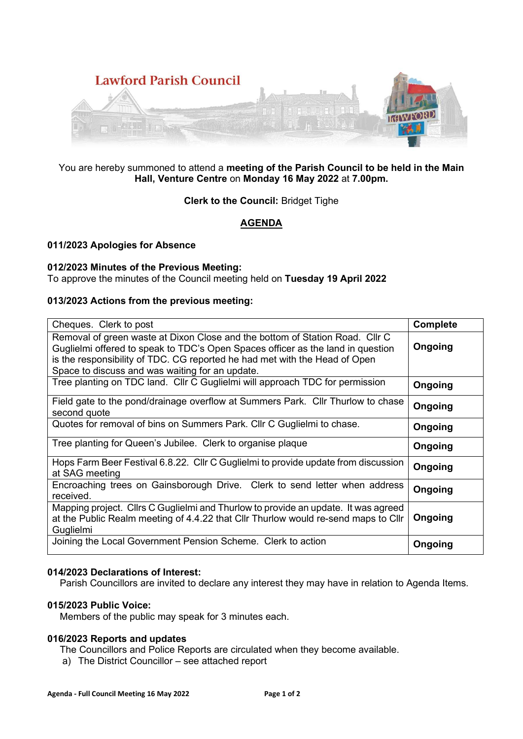

### You are hereby summoned to attend a **meeting of the Parish Council to be held in the Main Hall, Venture Centre** on **Monday 16 May 2022** at **7.00pm.**

### **Clerk to the Council:** Bridget Tighe

# **AGENDA**

## **011/2023 Apologies for Absence**

### **012/2023 Minutes of the Previous Meeting:**

To approve the minutes of the Council meeting held on **Tuesday 19 April 2022**

### **013/2023 Actions from the previous meeting:**

| Cheques. Clerk to post                                                                                                                                                                                                                                                                           | <b>Complete</b> |
|--------------------------------------------------------------------------------------------------------------------------------------------------------------------------------------------------------------------------------------------------------------------------------------------------|-----------------|
| Removal of green waste at Dixon Close and the bottom of Station Road. Cllr C<br>Guglielmi offered to speak to TDC's Open Spaces officer as the land in question<br>is the responsibility of TDC. CG reported he had met with the Head of Open<br>Space to discuss and was waiting for an update. | Ongoing         |
| Tree planting on TDC land. Cllr C Guglielmi will approach TDC for permission                                                                                                                                                                                                                     | Ongoing         |
| Field gate to the pond/drainage overflow at Summers Park. Cllr Thurlow to chase<br>second quote                                                                                                                                                                                                  | Ongoing         |
| Quotes for removal of bins on Summers Park. Cllr C Guglielmi to chase.                                                                                                                                                                                                                           | Ongoing         |
| Tree planting for Queen's Jubilee. Clerk to organise plaque                                                                                                                                                                                                                                      | Ongoing         |
| Hops Farm Beer Festival 6.8.22. Cllr C Guglielmi to provide update from discussion<br>at SAG meeting                                                                                                                                                                                             | Ongoing         |
| Encroaching trees on Gainsborough Drive. Clerk to send letter when address<br>received.                                                                                                                                                                                                          | Ongoing         |
| Mapping project. Cllrs C Guglielmi and Thurlow to provide an update. It was agreed<br>at the Public Realm meeting of 4.4.22 that Cllr Thurlow would re-send maps to Cllr<br>Guglielmi                                                                                                            | Ongoing         |
| Joining the Local Government Pension Scheme. Clerk to action                                                                                                                                                                                                                                     | Ongoing         |

### **014/2023 Declarations of Interest:**

Parish Councillors are invited to declare any interest they may have in relation to Agenda Items.

### **015/2023 Public Voice:**

Members of the public may speak for 3 minutes each.

## **016/2023 Reports and updates**

The Councillors and Police Reports are circulated when they become available.

a) The District Councillor – see attached report